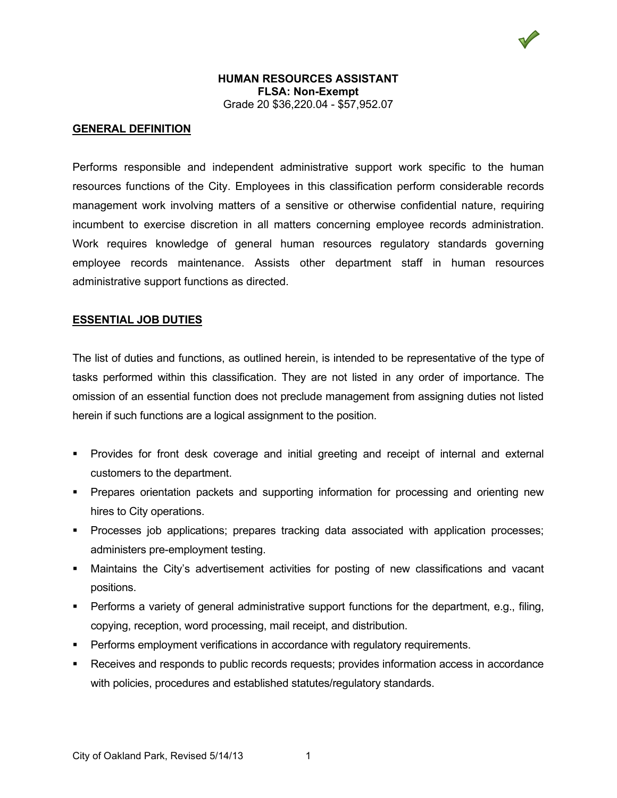

### **HUMAN RESOURCES ASSISTANT FLSA: Non-Exempt** Grade 20 \$36,220.04 - \$57,952.07

#### **GENERAL DEFINITION**

Performs responsible and independent administrative support work specific to the human resources functions of the City. Employees in this classification perform considerable records management work involving matters of a sensitive or otherwise confidential nature, requiring incumbent to exercise discretion in all matters concerning employee records administration. Work requires knowledge of general human resources regulatory standards governing employee records maintenance. Assists other department staff in human resources administrative support functions as directed.

#### **ESSENTIAL JOB DUTIES**

The list of duties and functions, as outlined herein, is intended to be representative of the type of tasks performed within this classification. They are not listed in any order of importance. The omission of an essential function does not preclude management from assigning duties not listed herein if such functions are a logical assignment to the position.

- **Provides for front desk coverage and initial greeting and receipt of internal and external** customers to the department.
- Prepares orientation packets and supporting information for processing and orienting new hires to City operations.
- Processes job applications; prepares tracking data associated with application processes; administers pre-employment testing.
- Maintains the City's advertisement activities for posting of new classifications and vacant positions.
- Performs a variety of general administrative support functions for the department, e.g., filing, copying, reception, word processing, mail receipt, and distribution.
- **Performs employment verifications in accordance with regulatory requirements.**
- Receives and responds to public records requests; provides information access in accordance with policies, procedures and established statutes/regulatory standards.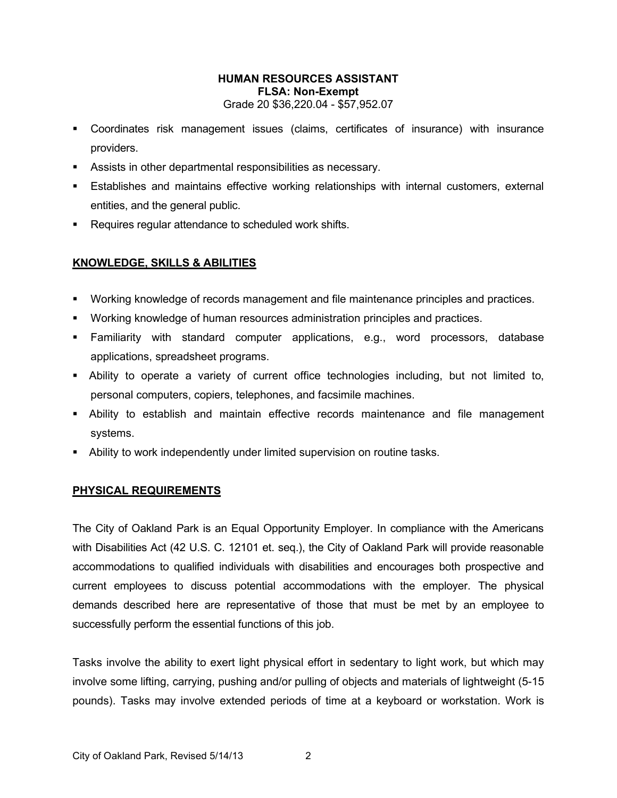## **HUMAN RESOURCES ASSISTANT FLSA: Non-Exempt** Grade 20 \$36,220.04 - \$57,952.07

- Coordinates risk management issues (claims, certificates of insurance) with insurance providers.
- Assists in other departmental responsibilities as necessary.
- Establishes and maintains effective working relationships with internal customers, external entities, and the general public.
- **Requires regular attendance to scheduled work shifts.**

# **KNOWLEDGE, SKILLS & ABILITIES**

- **Working knowledge of records management and file maintenance principles and practices.**
- Working knowledge of human resources administration principles and practices.
- Familiarity with standard computer applications, e.g., word processors, database applications, spreadsheet programs.
- Ability to operate a variety of current office technologies including, but not limited to, personal computers, copiers, telephones, and facsimile machines.
- Ability to establish and maintain effective records maintenance and file management systems.
- Ability to work independently under limited supervision on routine tasks.

## **PHYSICAL REQUIREMENTS**

The City of Oakland Park is an Equal Opportunity Employer. In compliance with the Americans with Disabilities Act (42 U.S. C. 12101 et. seq.), the City of Oakland Park will provide reasonable accommodations to qualified individuals with disabilities and encourages both prospective and current employees to discuss potential accommodations with the employer. The physical demands described here are representative of those that must be met by an employee to successfully perform the essential functions of this job.

Tasks involve the ability to exert light physical effort in sedentary to light work, but which may involve some lifting, carrying, pushing and/or pulling of objects and materials of lightweight (5-15 pounds). Tasks may involve extended periods of time at a keyboard or workstation. Work is